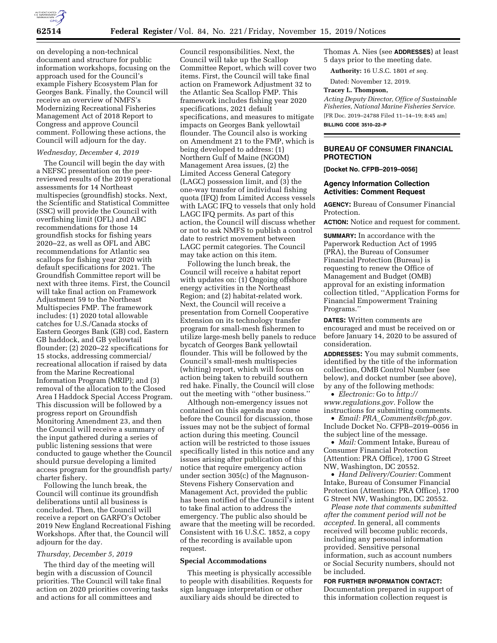

on developing a non-technical document and structure for public information workshops, focusing on the approach used for the Council's example Fishery Ecosystem Plan for Georges Bank. Finally, the Council will receive an overview of NMFS's Modernizing Recreational Fisheries Management Act of 2018 Report to Congress and approve Council comment. Following these actions, the Council will adjourn for the day.

## *Wednesday, December 4, 2019*

The Council will begin the day with a NEFSC presentation on the peerreviewed results of the 2019 operational assessments for 14 Northeast multispecies (groundfish) stocks. Next, the Scientific and Statistical Committee (SSC) will provide the Council with overfishing limit (OFL) and ABC recommendations for those 14 groundfish stocks for fishing years 2020–22, as well as OFL and ABC recommendations for Atlantic sea scallops for fishing year 2020 with default specifications for 2021. The Groundfish Committee report will be next with three items. First, the Council will take final action on Framework Adjustment 59 to the Northeast Multispecies FMP. The framework includes: (1) 2020 total allowable catches for U.S./Canada stocks of Eastern Georges Bank (GB) cod, Eastern GB haddock, and GB yellowtail flounder; (2) 2020–22 specifications for 15 stocks, addressing commercial/ recreational allocation if raised by data from the Marine Recreational Information Program (MRIP); and (3) removal of the allocation to the Closed Area I Haddock Special Access Program. This discussion will be followed by a progress report on Groundfish Monitoring Amendment 23, and then the Council will receive a summary of the input gathered during a series of public listening sessions that were conducted to gauge whether the Council should pursue developing a limited access program for the groundfish party/ charter fishery.

Following the lunch break, the Council will continue its groundfish deliberations until all business is concluded. Then, the Council will receive a report on GARFO's October 2019 New England Recreational Fishing Workshops. After that, the Council will adjourn for the day.

## *Thursday, December 5, 2019*

The third day of the meeting will begin with a discussion of Council priorities. The Council will take final action on 2020 priorities covering tasks and actions for all committees and

Council responsibilities. Next, the Council will take up the Scallop Committee Report, which will cover two items. First, the Council will take final action on Framework Adjustment 32 to the Atlantic Sea Scallop FMP. This framework includes fishing year 2020 specifications, 2021 default specifications, and measures to mitigate impacts on Georges Bank yellowtail flounder. The Council also is working on Amendment 21 to the FMP, which is being developed to address: (1) Northern Gulf of Maine (NGOM) Management Area issues, (2) the Limited Access General Category  $(LAGC)$  possession limit, and  $(3)$  the one-way transfer of individual fishing quota (IFQ) from Limited Access vessels with LAGC IFQ to vessels that only hold LAGC IFQ permits. As part of this action, the Council will discuss whether or not to ask NMFS to publish a control date to restrict movement between LAGC permit categories. The Council may take action on this item.

Following the lunch break, the Council will receive a habitat report with updates on: (1) Ongoing offshore energy activities in the Northeast Region; and (2) habitat-related work. Next, the Council will receive a presentation from Cornell Cooperative Extension on its technology transfer program for small-mesh fishermen to utilize large-mesh belly panels to reduce bycatch of Georges Bank yellowtail flounder. This will be followed by the Council's small-mesh multispecies (whiting) report, which will focus on action being taken to rebuild southern red hake. Finally, the Council will close out the meeting with ''other business.''

Although non-emergency issues not contained on this agenda may come before the Council for discussion, those issues may not be the subject of formal action during this meeting. Council action will be restricted to those issues specifically listed in this notice and any issues arising after publication of this notice that require emergency action under section 305(c) of the Magnuson-Stevens Fishery Conservation and Management Act, provided the public has been notified of the Council's intent to take final action to address the emergency. The public also should be aware that the meeting will be recorded. Consistent with 16 U.S.C. 1852, a copy of the recording is available upon request.

#### **Special Accommodations**

This meeting is physically accessible to people with disabilities. Requests for sign language interpretation or other auxiliary aids should be directed to

Thomas A. Nies (see **ADDRESSES**) at least 5 days prior to the meeting date.

**Authority:** 16 U.S.C. 1801 *et seq.* 

Dated: November 12, 2019.

## **Tracey L. Thompson,**

*Acting Deputy Director, Office of Sustainable Fisheries, National Marine Fisheries Service.*  [FR Doc. 2019–24788 Filed 11–14–19; 8:45 am] **BILLING CODE 3510–22–P** 

#### **BUREAU OF CONSUMER FINANCIAL PROTECTION**

**[Docket No. CFPB–2019–0056]** 

#### **Agency Information Collection Activities: Comment Request**

**AGENCY:** Bureau of Consumer Financial Protection.

**ACTION:** Notice and request for comment.

**SUMMARY:** In accordance with the Paperwork Reduction Act of 1995 (PRA), the Bureau of Consumer Financial Protection (Bureau) is requesting to renew the Office of Management and Budget (OMB) approval for an existing information collection titled, ''Application Forms for Financial Empowerment Training Programs.''

**DATES:** Written comments are encouraged and must be received on or before January 14, 2020 to be assured of consideration.

**ADDRESSES:** You may submit comments, identified by the title of the information collection, OMB Control Number (see below), and docket number (see above), by any of the following methods:

• *Electronic:* Go to *[http://](http://www.regulations.gov) [www.regulations.gov.](http://www.regulations.gov)* Follow the instructions for submitting comments.

• *Email: PRA*\_*[Comments@cfpb.gov.](mailto:PRA_Comments@cfpb.gov)*  Include Docket No. CFPB–2019–0056 in the subject line of the message.

• *Mail:* Comment Intake, Bureau of Consumer Financial Protection (Attention: PRA Office), 1700 G Street NW, Washington, DC 20552.

• *Hand Delivery/Courier:* Comment Intake, Bureau of Consumer Financial Protection (Attention: PRA Office), 1700 G Street NW, Washington, DC 20552.

*Please note that comments submitted after the comment period will not be accepted.* In general, all comments received will become public records, including any personal information provided. Sensitive personal information, such as account numbers or Social Security numbers, should not be included.

# **FOR FURTHER INFORMATION CONTACT:**

Documentation prepared in support of this information collection request is